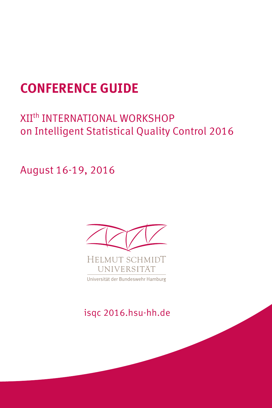# **CONFERENCE GUIDE**

# XIIth INTERNATIONAL WORKSHOP on Intelligent Statistical Quality Control 2016

August 16-19, 2016



Universität der Bundeswehr Hamburg

isqc 2016.hsu-hh.de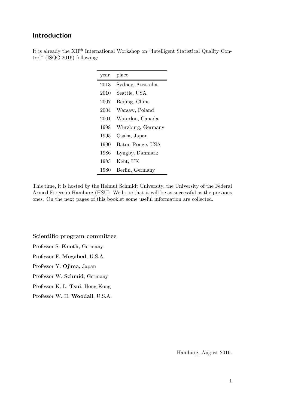## Introduction

|  |                                | It is already the XII <sup>th</sup> International Workshop on "Intelligent Statistical Quality Con- |  |  |  |
|--|--------------------------------|-----------------------------------------------------------------------------------------------------|--|--|--|
|  | trol" $(ISQC 2016)$ following: |                                                                                                     |  |  |  |

| year | place             |
|------|-------------------|
| 2013 | Sydney, Australia |
| 2010 | Seattle, USA      |
| 2007 | Beijing, China    |
| 2004 | Warsaw, Poland    |
| 2001 | Waterloo, Canada  |
| 1998 | Würzburg, Germany |
| 1995 | Osaka, Japan      |
| 1990 | Baton Rouge, USA  |
| 1986 | Lyngby, Danmark   |
| 1983 | Kent, UK          |
| 1980 | Berlin, Germany   |

This time, it is hosted by the Helmut Schmidt University, the University of the Federal Armed Forces in Hamburg (HSU). We hope that it will be as successful as the previous ones. On the next pages of this booklet some useful information are collected.

### Scientific program committee

- Professor S. Knoth, Germany
- Professor F. Megahed, U.S.A.
- Professor Y. Ojima, Japan
- Professor W. Schmid, Germany
- Professor K.-L. Tsui, Hong Kong
- Professor W. H. Woodall, U.S.A.

Hamburg, August 2016.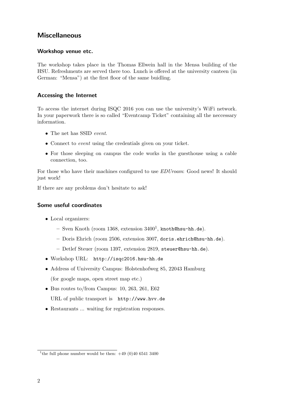## **Miscellaneous**

## Workshop venue etc.

The workshop takes place in the Thomas Ellwein hall in the Mensa building of the HSU. Refreshments are served there too. Lunch is offered at the university canteen (in German: "Mensa") at the first floor of the same buidling.

## Accessing the Internet

To access the internet during ISQC 2016 you can use the university's WiFi network. In your paperwork there is so called "Eventcamp Ticket" containing all the neccessary information.

- The net has SSID event.
- Connect to *event* using the credentials given on your ticket.
- For those sleeping on campus the code works in the guesthouse using a cable connection, too.

For those who have their machines configured to use *EDUroam*: Good news! It should just work!

If there are any problems don't hesitate to ask!

## Some useful coordinates

- Local organizers:
	- $-$  Sven Knoth (room 1368, extension  $3400<sup>1</sup>$ , knoth@hsu-hh.de).
	- Doris Ehrich (room 2506, extension 3007, doris.ehrich@hsu-hh.de).
	- Detlef Steuer (room 1397, extension 2819, steuer@hsu-hh.de).
- Workshop URL: http://isqc2016.hsu-hh.de
- Address of University Campus: Holstenhofweg 85, 22043 Hamburg (for google maps, open street map etc.)
- Bus routes to/from Campus: 10, 263, 261, E62
	- URL of public transport is http://www.hvv.de
- Restaurants ... waiting for registration responses.

<sup>&</sup>lt;sup>1</sup>the full phone number would be then:  $+49$  (0)40 6541 3400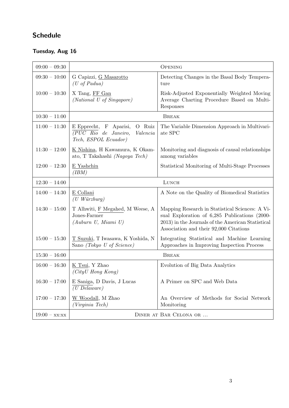## Schedule

## Tuesday, Aug 16

| $09:00 - 09:30$ |                                                                                              | <b>OPENING</b>                                                                                                                                                                                  |  |
|-----------------|----------------------------------------------------------------------------------------------|-------------------------------------------------------------------------------------------------------------------------------------------------------------------------------------------------|--|
| $09:30 - 10:00$ | G Capizzi, G Masarotto<br>$(U \text{ of } Padua)$                                            | Detecting Changes in the Basal Body Tempera-<br>ture                                                                                                                                            |  |
| $10:00 - 10:30$ | X Tang, FF Gan<br>(National U of Singapore)                                                  | Risk-Adjusted Exponentially Weighted Moving<br>Average Charting Procedure Based on Multi-<br>Responses                                                                                          |  |
| $10:30 - 11:00$ | <b>BREAK</b>                                                                                 |                                                                                                                                                                                                 |  |
| $11:00 - 11:30$ | O Ruiz<br>E Epprecht, F Aparisi,<br>(PUC Rio de Janeiro,<br>Valencia<br>Tech, ESPOL Ecuador) | The Variable Dimension Approach in Multivari-<br>ate SPC                                                                                                                                        |  |
| $11:30 - 12:00$ | K Nishina, H Kawamura, K Okam-<br>ato, T Takahashi (Nagoya Tech)                             | Monitoring and diagnosis of causal relationships<br>among variables                                                                                                                             |  |
| $12:00 - 12:30$ | E Yashchin<br>(IBM)                                                                          | Statistical Monitoring of Multi-Stage Processes                                                                                                                                                 |  |
| $12:30 - 14:00$ | LUNCH                                                                                        |                                                                                                                                                                                                 |  |
| $14:00 - 14:30$ | E Collani<br>$(U$ Würzburg)                                                                  | A Note on the Quality of Biomedical Statistics                                                                                                                                                  |  |
| $14:30 - 15:00$ | T Alhwiti, F Megahed, M Weese, A<br>Jones-Farmer<br>(Auburn U, Miami U)                      | Mapping Research in Statistical Sciences: A Vi-<br>sual Exploration of 6,285 Publications (2000-<br>2013) in the Journals of the American Statistical<br>Association and their 92,000 Citations |  |
| $15:00 - 15:30$ | T Suzuki, T Iwasawa, K Yoshida, N<br>Sano (Tokyo U of Science)                               | Integrating Statistical and Machine Learning<br>Approaches in Improving Inspection Process                                                                                                      |  |
| $15:30 - 16:00$ | <b>BREAK</b>                                                                                 |                                                                                                                                                                                                 |  |
| $16:00 - 16:30$ | K Tsui, Y Zhao<br>$(CityU$ Hong Kong)                                                        | Evolution of Big Data Analytics                                                                                                                                                                 |  |
| $16:30 - 17:00$ | E Saniga, D Davis, J Lucas<br>$(U\text{ Delaware})$                                          | A Primer on SPC and Web Data                                                                                                                                                                    |  |
| $17:00 - 17:30$ | W Woodall, M Zhao<br>(Virginia Tech)                                                         | An Overview of Methods for Social Network<br>Monitoring                                                                                                                                         |  |
| $19:00 - xx:xx$ | DINER AT BAR CELONA OR                                                                       |                                                                                                                                                                                                 |  |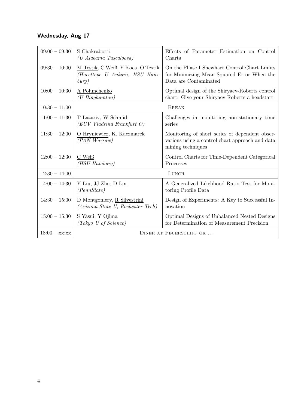## Wednesday, Aug 17

| $09:00 - 09:30$ | S Chakraborti<br>(U Alabama Tuscaloosa)                                      | Effects of Parameter Estimation on Control<br>Charts                                                                   |  |
|-----------------|------------------------------------------------------------------------------|------------------------------------------------------------------------------------------------------------------------|--|
| $09:30 - 10:00$ | M Testik, C Weiß, Y Koca, O Testik<br>(Hacettepe U Ankara, HSU Ham-<br>burg) | On the Phase I Shewhart Control Chart Limits<br>for Minimizing Mean Squared Error When the<br>Data are Contaminated    |  |
| $10:00 - 10:30$ | A Polunchenko<br>$(U \; Binghamton)$                                         | Optimal design of the Shiryaev-Roberts control<br>chart: Give your Shiryaev-Roberts a headstart                        |  |
| $10:30 - 11:00$ |                                                                              | <b>BREAK</b>                                                                                                           |  |
| $11:00 - 11:30$ | T Lazariv, W Schmid<br>(EUV Viadrina Frankfurt O)                            | Challenges in monitoring non-stationary time<br>series                                                                 |  |
| $11:30 - 12:00$ | O Hryniewicz, K. Kaczmarek<br>(PAN Warsaw)                                   | Monitoring of short series of dependent obser-<br>vations using a control chart approach and data<br>mining techniques |  |
| $12:00 - 12:30$ | C Weiß<br>(HSU Hamburq)                                                      | Control Charts for Time-Dependent Categorical<br>Processes                                                             |  |
| $12:30 - 14:00$ |                                                                              | LUNCH                                                                                                                  |  |
| $14:00 - 14:30$ | Y Liu, JJ Zhu, <u>D Lin</u><br>(PennState)                                   | A Generalized Likelihood Ratio Test for Moni-<br>toring Profile Data                                                   |  |
| $14:30 - 15:00$ | D Montgomery, R Silvestrini<br>(Arizona State U, Rochester Tech)             | Design of Experiments: A Key to Successful In-<br>novation                                                             |  |
| $15:00 - 15:30$ | <u>S Yasui</u> , Y Ojima<br>(Tokyo U of Science)                             | Optimal Designs of Unbalanced Nested Designs<br>for Determination of Measurement Precision                             |  |
| $18:00 - xx:xx$ | DINER AT FEUERSCHIFF OR                                                      |                                                                                                                        |  |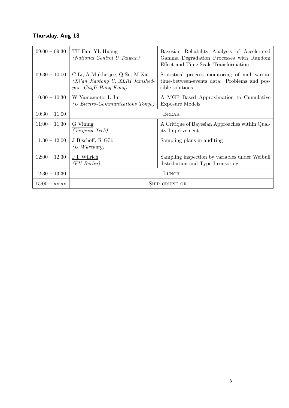## Thursday, Aug 18

| $09:00 - 09:30$    | TH Fan, YL Huang<br>(National Central U Taiwan)                                             | Bayesian Reliability Analysis of Accelerated<br>Gamma Degradation Processes with Random<br>Effect and Time-Scale Transformation |  |
|--------------------|---------------------------------------------------------------------------------------------|---------------------------------------------------------------------------------------------------------------------------------|--|
| $09:30 - 10:00$    | C Li, A Mukherjee, Q Su, M Xie<br>(Xi'an Jiaotong U, XLRI Jamshed-<br>pur, CityU Hong Kong) | Statistical process monitoring of multivariate<br>time-between-events data: Problems and pos-<br>sible solutions                |  |
| $10:00 - 10:30$    | W Yamamoto, L Jin<br>( <i>U Electro-Communications Tokyo</i> )                              | A MGF Based Approximation to Cumulative<br>Exposure Models                                                                      |  |
| $10:30 - 11:00$    |                                                                                             | <b>BREAK</b>                                                                                                                    |  |
| $11:00 - 11:30$    | G Vining<br>(Virginia Tech)                                                                 | A Critique of Bayesian Approaches within Qual-<br>ity Improvement                                                               |  |
| $11:30 - 12:00$    | J Bischoff, R Göb<br>$(U$ Würzburg)                                                         | Sampling plans in auditing                                                                                                      |  |
| $12:00 - 12:30$    | PT Wilrich<br>$(FU\text{ Berlin})$                                                          | Sampling inspection by variables under Weibull<br>distribution and Type I censoring                                             |  |
| $12:30 - 13:30$    | LUNCH                                                                                       |                                                                                                                                 |  |
| $15:00 - x x; x x$ | SHIP CRUISE OR                                                                              |                                                                                                                                 |  |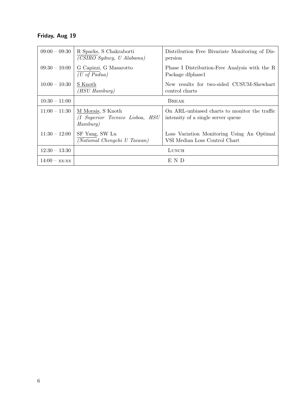## Friday, Aug 19

| $09:00 - 09:30$    | R Sparks, S Chakraborti<br>(CSIRO Sydney, U Alabama)                | Distribution Free Bivariate Monitoring of Dis-<br>persion                           |  |
|--------------------|---------------------------------------------------------------------|-------------------------------------------------------------------------------------|--|
| $09:30 - 10:00$    | G Capizzi, G Masarotto<br>$(U \text{ of } Padua)$                   | Phase I Distribution-Free Analysis with the R<br>Package dfphase1                   |  |
| $10:00 - 10:30$    | S Knoth<br>(HSU Hamburg)                                            | New results for two-sided CUSUM-Shewhart<br>control charts                          |  |
| $10:30 - 11:00$    |                                                                     | <b>BREAK</b>                                                                        |  |
| $11:00 - 11:30$    | M Morais, S Knoth<br>(I Superior Tecnico Lisboa, HSU<br>$Hamburq$ ) | On ARL-unbiased charts to monitor the traffic<br>intensity of a single server queue |  |
| $11:30 - 12:00$    | SF Yang, SW Lu<br>(National Chengchi U Taiwan)                      | Loss Variation Monitoring Using An Optimal<br>VSI Median Loss Control Chart         |  |
| $12:30 - 13:30$    | LUNCH                                                               |                                                                                     |  |
| $14:00 - x x; x x$ |                                                                     | E N D                                                                               |  |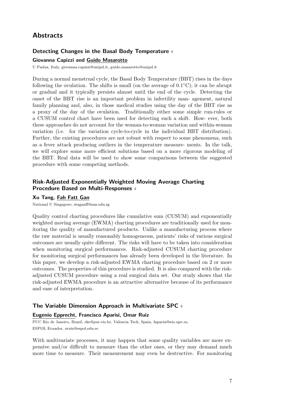## **Abstracts**

## Detecting Changes in the Basal Body Temperature

#### Giovanna Capizzi and Guido Masarotto

U Padua, Italy, giovanna.capizzi@unipd.it, guido.masarotto@unipd.it

During a normal menstrual cycle, the Basal Body Temperature (BBT) rises in the days following the ovulation. The shifts is small (on the average of  $0.1^{\circ}$ C); it can be abrupt or gradual and it typically persists almost until the end of the cycle. Detecting the onset of the BBT rise is an important problem in infertility man- agement, natural family planning and, also, in those medical studies using the day of the BBT rise as a proxy of the day of the ovulation. Traditionally either some simple run-rules or a CUSUM control chart have been used for detecting such a shift. How- ever, both these approaches do not account for the woman-to-woman variation and within-woman variation (i.e. for the variation cycle-to-cycle in the individual BBT distribution). Further, the existing procedures are not robust with respect to some phenomena, such as a fever attack producing outliers in the temperature measure- ments. In the talk, we will explore some more efficient solutions based on a more rigorous modeling of the BBT. Real data will be used to show some comparisons between the suggested procedure with some competing methods.

## Risk-Adjusted Exponentially Weighted Moving Average Charting Procedure Based on Multi-Responses

#### Xu Tang, Fah Fatt Gan

National U Singapore, staganff@nus.edu.sg

Quality control charting procedures like cumulative sum (CUSUM) and exponentially weighted moving average (EWMA) charting procedures are traditionally used for monitoring the quality of manufactured products. Unlike a manufacturing process where the raw material is usually reasonably homogeneous, patients' risks of various surgical outcomes are usually quite different. The risks will have to be taken into consideration when monitoring surgical performances. Risk-adjusted CUSUM charting procedure for monitoring surgical performances has already been developed in the literature. In this paper, we develop a risk-adjusted EWMA charting procedure based on 2 or more outcomes. The properties of this procedure is studied. It is also compared with the riskadjusted CUSUM procedure using a real surgical data set. Our study shows that the risk-adjusted EWMA procedure is an attractive alternative because of its performance and ease of interpretation.

#### The Variable Dimension Approach in Multivariate SPC

#### Eugenio Epprecht, Francisco Aparisi, Omar Ruiz

PUC Rio de Janeiro, Brazil, eke@puc-rio.br, Valencia Tech, Spain, faparisi@eio.upv.es, ESPOL Ecuador, oruiz@espol.edu.ec

With multivariate processes, it may happen that some quality variables are more expensive and/or difficult to measure than the other ones, or they may demand much more time to measure. Their measurement may even be destructive. For monitoring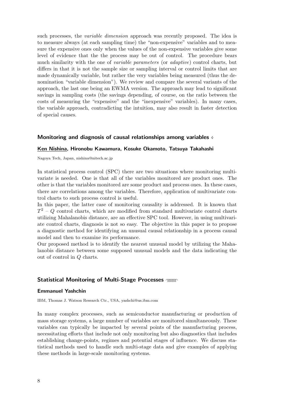such processes, the variable dimension approach was recently proposed. The idea is to measure always (at each sampling time) the "non-expensive" variables and to measure the expensive ones only when the values of the non-expensive variables give some level of evidence that the the process may be out of control. The procedure bears much similarity with the one of *variable parameters* (or *adaptive*) control charts, but differs in that it is not the sample size or sampling interval or control limits that are made dynamically variable, but rather the very variables being measured (thus the denomination "variable dimension"). We review and compare the several variants of the approach, the last one being an EWMA version. The approach may lead to significant savings in sampling costs (the savings depending, of course, on the ratio between the costs of measuring the "expensive" and the "inexpensive" variables). In many cases, the variable approach, contradicting the intuition, may also result in faster detection of special causes.

#### Monitoring and diagnosis of causal relationships among variables  $\diamond$

#### Ken Nishina, Hironobu Kawamura, Kosuke Okamoto, Tatsuya Takahashi

Nagoya Tech, Japan, nishina@nitech.ac.jp

In statistical process control (SPC) there are two situations where monitoring multivariate is needed. One is that all of the variables monitored are product ones. The other is that the variables monitored are some product and process ones. In these cases, there are correlations among the variables. Therefore, application of multivariate control charts to such process control is useful.

In this paper, the latter case of monitoring causality is addressed. It is known that  $T^2 - Q$  control charts, which are modified from standard multivariate control charts utilizing Mahalanobis distance, are an effective SPC tool. However, in using multivariate control charts, diagnosis is not so easy. The objective in this paper is to propose a diagnostic method for identifying an unusual causal relationship in a process causal model and then to examine its performance.

Our proposed method is to identify the nearest unusual model by utilizing the Mahalanobis distance between some supposed unusual models and the data indicating the out of control in Q charts.

#### Statistical Monitoring of Multi-Stage Processes  $\gamma$

#### Emmanuel Yashchin

IBM, Thomas J. Watson Research Ctr., USA, yashchi@us.ibm.com

In many complex processes, such as semiconductor manufacturing or production of mass storage systems, a large number of variables are monitored simultaneously. These variables can typically be impacted by several points of the manufacturing process, necessitating efforts that include not only monitoring but also diagnostics that includes establishing change-points, regimes and potential stages of influence. We discuss statistical methods used to handle such multi-stage data and give examples of applying these methods in large-scale monitoring systems.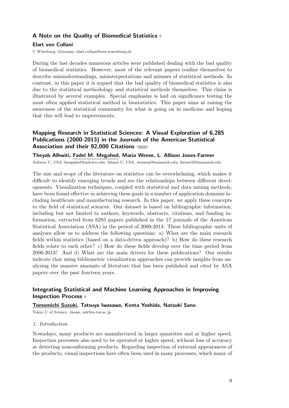## A Note on the Quality of Biomedical Statistics  $\diamond$

### Elart von Collani

U W¨urzburg, Germany, elart.collani@uni-wuerzburg.de

During the last decades numerous articles were published dealing with the bad quality of biomedical statistics. However, most of the relevant papers confine themselves to describe misunderstandings, misinterpretations and misuses of statistical methods. In contrast, in this paper it is argued that the bad quality of biomedical statistics is also due to the statistical methodology and statistical methods themselves. This claim is illustrated by several examples. Special emphasize is laid on significance testing the most often applied statistical method in biostatistics. This paper aims at raising the awareness of the statistical community for what is going on in medicine and hoping that this will lead to improvements.

## Mapping Research in Statistical Sciences: A Visual Exploration of 6,285 Publications (2000-2013) in the Journals of the American Statistical Association and their 92,000 Citations  $\gamma$

Theyab Alhwiti, Fadel M. Megahed, Maria Weese, L. Allison Jones-Farmer Auburn U, USA, fmegahed@auburn.edu, Miami U, USA, weeseml@miamioh.edu, farmerl2@miamioh.edu

The size and scope of the literature on statistics can be overwhelming, which makes it difficult to identify emerging trends and see the relationships between different developments. Visualization techniques, coupled with statistical and data mining methods, have been found effective in achieving these goals in a number of application domains including healthcare and manufacturing research. In this paper, we apply these concepts to the field of statistical sciences. Our dataset is based on bibliographic information, including but not limited to authors, keywords, abstracts, citations, and funding information, extracted from 6285 papers published in the 17 journals of the American Statistical Association (ASA) in the period of 2000-2013. These bibliographic units of analyses allow us to address the following questions: a) What are the main research fields within statistics (based on a data-driven approach)? b) How do these research fields relate to each other? c) How do these fields develop over the time period from 2000-2013? And d) What are the main drivers for these publications? Our results indicate that using bibliometric visualization approaches can provide insights from analyzing the massive amounts of literature that has been published and cited by ASA papers over the past fourteen years.

## Integrating Statistical and Machine Learning Approaches in Improving Inspection Process  $\diamond$

### Tomomichi Suzuki, Tatsuya Iwasawa, Kenta Yoshida, Natsuki Sano

Tokyo U of Science, Jaoan, szk@rs.tus.ac.jp

#### 1. Introduction

Nowadays, many products are manufactured in larger quantities and at higher speed. Inspection processes also need to be operated at higher speed, without loss of accuracy at detecting nonconforming products. Regarding inspection of external appearances of the products, visual inspections have often been used in many processes, which many of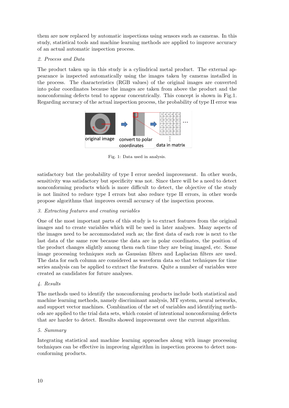them are now replaced by automatic inspections using sensors such as cameras. In this study, statistical tools and machine learning methods are applied to improve accuracy of an actual automatic inspection process.

## 2. Process and Data

The product taken up in this study is a cylindrical metal product. The external appearance is inspected automatically using the images taken by cameras installed in the process. The characteristics (RGB values) of the original images are converted into polar coordinates because the images are taken from above the product and the nonconforming defects tend to appear concentrically. This concept is shown in Fig.1. Regarding accuracy of the actual inspection process, the probability of type II error was



Fig. 1: Data used in analysis.

satisfactory but the probability of type I error needed improvement. In other words, sensitivity was satisfactory but specificity was not. Since there will be a need to detect nonconforming products which is more difficult to detect, the objective of the study is not limited to reduce type I errors but also reduce type II errors, in other words propose algorithms that improves overall accuracy of the inspection process.

## 3. Extracting features and creating variables

One of the most important parts of this study is to extract features from the original images and to create variables which will be used in later analyses. Many aspects of the images need to be accommodated such as; the first data of each row is next to the last data of the same row because the data are in polar coordinates, the position of the product changes slightly among them each time they are being imaged, etc. Some image processing techniques such as Gaussian filters and Laplacian filters are used. The data for each column are considered as waveform data so that techniques for time series analysis can be applied to extract the features. Quite a number of variables were created as candidates for future analyses.

## 4. Results

The methods used to identify the nonconforming products include both statistical and machine learning methods, namely discriminant analysis, MT system, neural networks, and support vector machines. Combination of the set of variables and identifying methods are applied to the trial data sets, which consist of intentional nonconforming defects that are harder to detect. Results showed improvement over the current algorithm.

## 5. Summary

Integrating statistical and machine learning approaches along with image processing techniques can be effective in improving algorithm in inspection process to detect nonconforming products.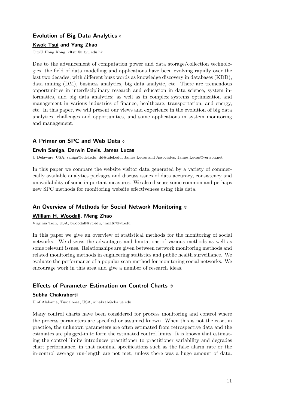## Evolution of Big Data Analytics

### Kwok Tsui and Yang Zhao

CityU Hong Kong, kltsui@cityu.edu.hk

Due to the advancement of computation power and data storage/collection technologies, the field of data modelling and applications have been evolving rapidly over the last two decades, with different buzz words as knowledge discovery in databases (KDD), data mining (DM), business analytics, big data analytic, etc. There are tremendous opportunities in interdisciplinary research and education in data science, system informatics, and big data analytics; as well as in complex systems optimization and management in various industries of finance, healthcare, transportation, and energy, etc. In this paper, we will present our views and experience in the evolution of big data analytics, challenges and opportunities, and some applications in system monitoring and management.

## A Primer on SPC and Web Data  $\phi$

#### Erwin Saniga, Darwin Davis, James Lucas

U Delaware, USA, saniga@udel.edu, dd@udel.edu, James Lucas and Associates, James.Lucas@verizon.net

In this paper we compare the website visitor data generated by a variety of commercially available analytics packages and discuss issues of data accuracy, consistency and unavailability of some important measures. We also discuss some common and perhaps new SPC methods for monitoring website effectiveness using this data.

### An Overview of Methods for Social Network Monitoring  $\odot$

#### William H. Woodall, Meng Zhao

Virginia Tech, USA, bwoodall@vt.edu, jmz167@vt.edu

In this paper we give an overview of statistical methods for the monitoring of social networks. We discuss the advantages and limitations of various methods as well as some relevant issues. Relationships are given between network monitoring methods and related monitoring methods in engineering statistics and public health surveillance. We evaluate the performance of a popular scan method for monitoring social networks. We encourage work in this area and give a number of research ideas.

## **Effects of Parameter Estimation on Control Charts ®**

### Subha Chakraborti

U of Alabama, Tuscaloosa, USA, schakrab@cba.ua.edu

Many control charts have been considered for process monitoring and control where the process parameters are specified or assumed known. When this is not the case, in practice, the unknown parameters are often estimated from retrospective data and the estimates are plugged-in to form the estimated control limits. It is known that estimating the control limits introduces practitioner to practitioner variability and degrades chart performance, in that nominal specifications such as the false alarm rate or the in-control average run-length are not met, unless there was a huge amount of data.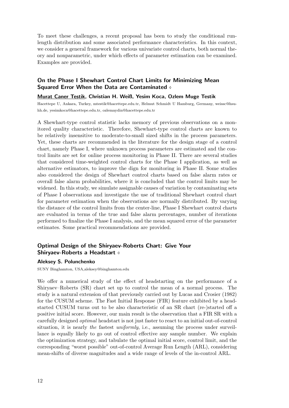To meet these challenges, a recent proposal has been to study the conditional runlength distribution and some associated performance characteristics. In this context, we consider a general framework for various univariate control charts, both normal theory and nonparametric, under which effects of parameter estimation can be examined. Examples are provided.

## On the Phase I Shewhart Control Chart Limits for Minimizing Mean Squared Error When the Data are Contaminated  $\phi$

### Murat Caner Testik, Christian H. Weiß, Yesim Koca, Ozlem Muge Testik

Hacettepe U, Ankara, Turkey, mtestik@hacettepe.edu.tr, Helmut Schmidt U Hamburg, Germany, weissc@hsuhh.de, yesimkoca@hacettepe.edu.tr, ozlemaydin@hacettepe.edu.tr

A Shewhart-type control statistic lacks memory of previous observations on a monitored quality characteristic. Therefore, Shewhart-type control charts are known to be relatively insensitive to moderate-to-small sized shifts in the process parameters. Yet, these charts are recommended in the literature for the design stage of a control chart, namely Phase I, where unknown process parameters are estimated and the control limits are set for online process monitoring in Phase II. There are several studies that considered time-weighted control charts for the Phase I application, as well as alternative estimators, to improve the dign for monitoring in Phase II. Some studies also considered the design of Shewhart control charts based on false alarm rates or overall false alarm probabilities, where it is concluded that the control limits may be widened. In this study, we simulate assignable causes of variation by contaminating sets of Phase I observations and investigate the use of traditional Shewhart control chart for parameter estimation when the observations are normally distributed. By varying the distance of the control limits from the center-line, Phase I Shewhart control charts are evaluated in terms of the true and false alarm percentages, number of iterations performed to finalize the Phase I analysis, and the mean squared error of the parameter estimates. Some practical recommendations are provided.

## Optimal Design of the Shiryaev-Roberts Chart: Give Your Shiryaev-Roberts a Headstart

### Aleksey S. Polunchenko

SUNY Binghamton, USA,aleksey@binghamton.edu

We offer a numerical study of the effect of headstarting on the performance of a Shiryaev–Roberts (SR) chart set up to control the mean of a normal process. The study is a natural extension of that previously carried out by Lucas and Crosier (1982) for the CUSUM scheme. The Fast Initial Response (FIR) feature exhibited by a headstarted CUSUM turns out to be also characteristic of an SR chart (re-)started off a positive initial score. However, our main result is the observation that a FIR SR with a carefully designed optimal headstart is not just faster to react to an initial out-of-control situation, it is nearly the fastest uniformly, i.e., assuming the process under surveillance is equally likely to go out of control effective any sample number. We explain the optimization strategy, and tabulate the optimal initial score, control limit, and the corresponding "worst possible" out-of-control Average Run Length (ARL), considering mean-shifts of diverse magnitudes and a wide range of levels of the in-control ARL.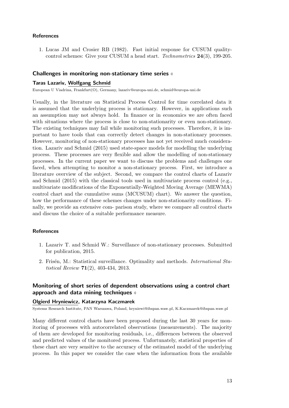### References

1. Lucas JM and Crosier RB (1982). Fast initial response for CUSUM qualitycontrol schemes: Give your CUSUM a head start. Technometrics 24(3), 199-205.

## Challenges in monitoring non-stationary time series

#### Taras Lazariv, Wolfgang Schmid

European U Viadrina, Frankfurt(O), Germany, lazariv@europa-uni.de, schmid@europa-uni.de

Usually, in the literature on Statistical Process Control for time correlated data it is assumed that the underlying process is stationary. However, in applications such an assumption may not always hold. In finance or in economics we are often faced with situations where the process is close to non-stationarity or even non-stationary. The existing techniques may fail while monitoring such processes. Therefore, it is important to have tools that can correctly detect changes in non-stationary processes. However, monitoring of non-stationary processes has not yet received much consideration. Lazariv and Schmid (2015) used state-space models for modelling the underlying process. These processes are very flexible and allow the modelling of non-stationary processes. In the current paper we want to discuss the problems and challenges one faced, when attempting to monitor a non-stationary process. First, we introduce a literature overview of the subject. Second, we compare the control charts of Lazariv and Schmid (2015) with the classical tools used in multivariate process control (e.g., multivariate modifications of the Exponentially-Weighted Moving Average (MEWMA) control chart and the cumulative sums (MCUSUM) chart). We answer the question, how the performance of these schemes changes under non-stationarity conditions. Finally, we provide an extensive com- parison study, where we compare all control charts and discuss the choice of a suitable performance measure.

### References

- 1. Lazariv T. and Schmid W.: Surveillance of non-stationary processes. Submitted for publication, 2015.
- 2. Frisén, M.: Statistical surveillance. Optimality and methods. *International Sta*tistical Review 71(2), 403-434, 2013.

## Monitoring of short series of dependent observations using a control chart approach and data mining techniques  $\diamond$

#### Olgierd Hryniewicz, Katarzyna Kaczmarek

Systems Research Institute, PAN Warszawa, Poland, hryniewi@ibspan.waw.pl, K.Kaczmarek@ibspan.waw.pl

Many different control charts have been proposed during the last 30 years for monitoring of processes with autocorrelated observations (measurements). The majority of them are developed for monitoring residuals, i.e., differences between the observed and predicted values of the monitored process. Unfortunately, statistical properties of these chart are very sensitive to the accuracy of the estimated model of the underlying process. In this paper we consider the case when the information from the available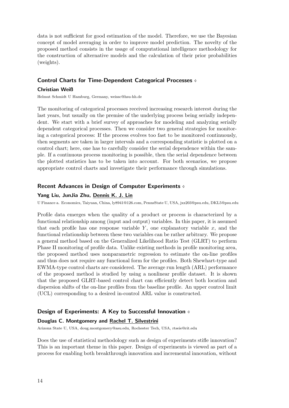data is not sufficient for good estimation of the model. Therefore, we use the Bayesian concept of model averaging in order to improve model prediction. The novelty of the proposed method consists in the usage of computational intelligence methodology for the construction of alternative models and the calculation of their prior probabilities (weights).

## Control Charts for Time-Dependent Categorical Processes  $\phi$

### Christian Weiß

Helmut Schmidt U Hamburg, Germany, weissc@hsu-hh.de

The monitoring of categorical processes received increasing research interest during the last years, but usually on the premise of the underlying process being serially independent. We start with a brief survey of approaches for modeling and analyzing serially dependent categorical processes. Then we consider two general strategies for monitoring a categorical process: If the process evolves too fast to be monitored continuously, then segments are taken in larger intervals and a corresponding statistic is plotted on a control chart; here, one has to carefully consider the serial dependence within the sample. If a continuous process monitoring is possible, then the serial dependence between the plotted statistics has to be taken into account. For both scenarios, we propose appropriate control charts and investigate their performance through simulations.

### Recent Advances in Design of Computer Experiments  $\phi$

#### Yang Liu, JunJia Zhu, Dennis K. J. Lin

U Finance a. Economics, Taiyuan, China, ly8941@126.com, PennsState U, USA, jxz203@psu.edu, DKL5@psu.edu

Profile data emerges when the quality of a product or process is characterized by a functional relationship among (input and output) variables. In this paper, it is assumed that each profile has one response variable  $Y$ , one explanatory variable  $x$ , and the functional relationship between these two variables can be rather arbitrary. We propose a general method based on the Generalized Likelihood Ratio Test (GLRT) to perform Phase II monitoring of profile data. Unlike existing methods in profile monitoring area, the proposed method uses nonparametric regression to estimate the on-line profiles and thus does not require any functional form for the profiles. Both Shewhart-type and EWMA-type control charts are considered. The average run length (ARL) performance of the proposed method is studied by using a nonlinear profile dataset. It is shown that the proposed GLRT-based control chart can efficiently detect both location and dispersion shifts of the on-line profiles from the baseline profile. An upper control limit (UCL) corresponding to a desired in-control ARL value is constructed.

## Design of Experiments: A Key to Successful Innovation  $\phi$

#### Douglas C. Montgomery and Rachel T. Silvestrini

Arizona State U, USA, doug.montgomery@asu.edu, Rochester Tech, USA, rtseie@rit.edu

Does the use of statistical methodology such as design of experiments stifle innovation? This is an important theme in this paper. Design of experiments is viewed as part of a process for enabling both breakthrough innovation and incremental innovation, without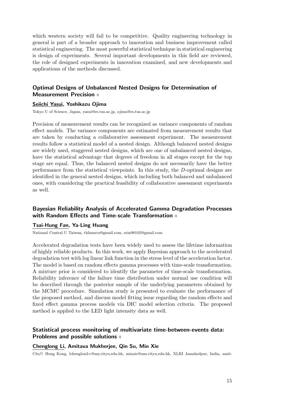which western society will fail to be competitive. Quality engineering technology in general is part of a broader approach to innovation and business improvement called statistical engineering. The most powerful statistical technique in statistical engineering is design of experiments. Several important developments in this field are reviewed, the role of designed experiments in innovation examined, and new developments and applications of the methods discussed.

## Optimal Designs of Unbalanced Nested Designs for Determination of **Measurement Precision**  $\phi$

#### Seiichi Yasui, Yoshikazu Ojima

Tokyo U of Science, Japan, yasui@rs.tus.ac.jp, ojima@rs.tus.ac.jp

Precision of measurement results can be recognized as variance components of random effect models. The variance components are estimated from measurement results that are taken by conducting a collaborative assessment experiment. The measurement results follow a statistical model of a nested design. Although balanced nested designs are widely used, staggered nested designs, which are one of unbalanced nested designs, have the statistical advantage that degrees of freedom in all stages except for the top stage are equal. Thus, the balanced nested designs do not necessarily have the better performance from the statistical viewpoints. In this study, the D-optimal designs are identified in the general nested designs, which including both balanced and unbalanced ones, with considering the practical feasibility of collaborative assessment experiments as well.

## Bayesian Reliability Analysis of Accelerated Gamma Degradation Processes with Random Effects and Time-scale Transformation  $\phi$

## Tsai-Hung Fan, Ya-Ling Huang

National Central U Taiwan, thfanncu@gmail.com, erin98102@gmail.com

Accelerated degradation tests have been widely used to assess the lifetime information of highly reliable products. In this work, we apply Bayesian approach to the accelerated degradation test with log linear link function in the stress level of the acceleration factor. The model is based on random effects gamma processes with time-scale transformation. A mixture prior is considered to identify the parameter of time-scale transformation. Reliability inference of the failure time distribution under normal use condition will be described through the posterior sample of the underlying parameters obtained by the MCMC procedure. Simulation study is presented to evaluate the performance of the proposed method, and discuss model fitting issue regarding the random effects and fixed effect gamma process models via DIC model selection criteria. The proposed method is applied to the LED light intensity data as well.

## Statistical process monitoring of multivariate time-between-events data: Problems and possible solutions  $\diamond$

#### Chenglong Li, Amitava Mukherjee, Qin Su, Min Xie

CityU Hong Kong, lchenglon2-c@my.cityu.edu.hk, minxie@um.cityu.edu.hk, XLRI Jamshedpur, India, amit-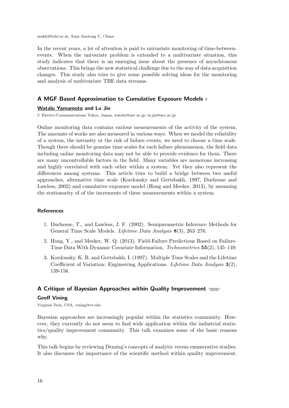mukh2@xlri.ac.in, Xian Jiaotong U, China

In the recent years, a lot of attention is paid to univariate monitoring of time-betweenevents. When the univariate problem is extended to a multivariate situation, this study indicates that there is an emerging issue about the presence of asynchronous observations. This brings the new statistical challenge due to the way of data acquisition changes. This study also tries to give some possible solving ideas for the monitoring and analysis of multivariate TBE data streams.

## A MGF Based Approximation to Cumulative Exposure Models

#### Watalu Yamamoto and Lu Jin

U Electro-Communications Tokyo, Japan, watalu@uec.ac.jp, lu.jin@uec.ac.jp

Online monitoring data contains various measurements of the activity of the system. The amounts of works are also measured in various ways. When we model the reliability of a system, the intensity or the risk of failure events, we need to choose a time scale. Though there should be genuine time scales for each failure phenomenon, the field data including online monitoring data may not be able to provide evidence for them. There are many uncontrollable factors in the field. Many variables are monotone increasing and highly correlated with each other within a system. Yet they also represent the differences among systems. This article tries to build a bridge between two useful approaches, alternative time scale (Kordonsky and Gertsbakh, 1997, Duchesne and Lawless, 2002) and cumulative exposure model (Hong and Meeker, 2013), by assuming the stationarity of of the increments of these measurements within a system.

#### **References**

- 1. Duchesne, T., and Lawless, J. F. (2002). Semiparametric Inference Methods for General Time Scale Models. Lifetime Data Analysis 8(3), 263–276.
- 2. Hong, Y., and Meeker, W. Q. (2013). Field-Failure Predictions Based on Failure-Time Data With Dynamic Covariate Information. Technometrics 55(2), 135–149.
- 3. Kordonsky, K. B. and Gertsbakh, I. (1997). Multiple Time Scales and the Lifetime Coefficient of Variation: Engineering Applications. Lifetime Data Analysis 3(2), 139-156.

### A Critique of Bayesian Approaches within Quality Improvement  $\gamma_{\text{WOM}}$

#### Geoff Vining

Virginia Tech, USA, vining@vt.edu

Bayesian approaches are increasingly popular within the statistics community. However, they currently do not seem to find wide application within the industrial statistics/quality improvement community. This talk examines some of the basic reasons why.

This talk begins by reviewing Deming's concepts of analytic versus enumerative studies. It also discusses the importance of the scientific method within quality improvement.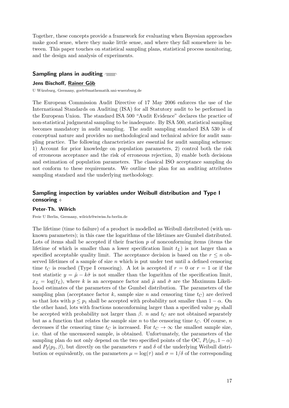Together, these concepts provide a framework for evaluating when Bayesian approaches make good sense, where they make little sense, and where they fall somewhere in between. This paper touches on statistical sampling plans, statistical process monitoring, and the design and analysis of experiments.

### Sampling plans in auditing  $\gamma$

#### Jens Bischoff, Rainer Göb

U W¨urzburg, Germany, goeb@mathematik.uni-wuerzburg.de

The European Commission Audit Directive of 17 May 2006 enforces the use of the International Standards on Auditing (ISA) for all Statutory audit to be performed in the European Union. The standard ISA 500 "Audit Evidence" declares the practice of non-statistical judgmental sampling to be inadequate. By ISA 500, statistical sampling becomes mandatory in audit sampling. The audit sampling standard ISA 530 is of conceptual nature and provides no methodological and technical advice for audit sampling practice. The following characteristics are essential for audit sampling schemes: 1) Account for prior knowledge on population parameters, 2) control both the risk of erroneous acceptance and the risk of erroneous rejection, 3) enable both decisions and estimation of population parameters. The classical ISO acceptance sampling do not conform to these requirements. We outline the plan for an auditing attributes sampling standard and the underlying methodology.

## Sampling inspection by variables under Weibull distribution and Type I censoring

#### Peter-Th. Wilrich

Freie U Berlin, Germany, wilrich@wiwiss.fu-berlin.de

The lifetime (time to failure) of a product is modelled as Weibull distributed (with unknown parameters); in this case the logarithms of the lifetimes are Gumbel distributed. Lots of items shall be accepted if their fraction  $p$  of nonconforming items (items the lifetime of which is smaller than a lower specification limit  $t_L$ ) is not larger than a specified acceptable quality limit. The acceptance decision is based on the  $r \leq n$  observed lifetimes of a sample of size  $n$  which is put under test until a defined censoring time  $t_C$  is reached (Type I censoring). A lot is accepted if  $r = 0$  or  $r = 1$  or if the test statistic  $y = \hat{\mu} - k\hat{\sigma}$  is not smaller than the logarithm of the specification limit,  $x_L = \log(t_L)$ , where k is an accepance factor and  $\hat{\mu}$  and  $\hat{\sigma}$  are the Maximum Likelihood estimates of the parameters of the Gumbel distribution. The parameters of the sampling plan (acceptance factor k, sample size n and censoring time  $t_C$ ) are derived so that lots with  $p \leq p_1$  shall be accepted with probability not smaller than  $1 - \alpha$ . On the other hand, lots with fractions nonconforming larger than a specified value  $p_2$  shall be accepted with probability not larger than  $\beta$ . *n* and  $t_C$  are not obtained separately but as a function that relates the sample size n to the censoring time  $t<sub>C</sub>$ . Of course, n decreases if the censoring time  $t_C$  is increased. For  $t_C \rightarrow \infty$  the smallest sample size, i.e. that of the uncensored sample, is obtained. Unfortunately, the parameters of the sampling plan do not only depend on the two specified points of the OC,  $P_1(p_1, 1 - \alpha)$ and  $P_2(p_2, \beta)$ , but directly on the parameters  $\tau$  and  $\delta$  of the underlying Weibull distribution or equivalently, on the parameters  $\mu = \log(\tau)$  and  $\sigma = 1/\delta$  of the corresponding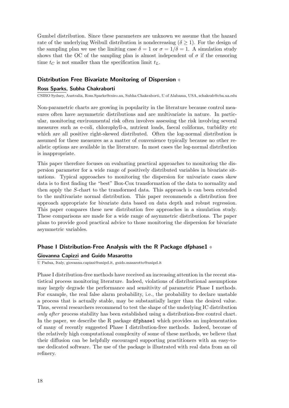Gumbel distribution. Since these parameters are unknown we assume that the hazard rate of the underlying Weibull distribution is nondecreasing  $(\delta \geq 1)$ . For the design of the sampling plan we use the limiting case  $\delta = 1$  or  $\sigma = 1/\delta = 1$ . A simulation study shows that the OC of the sampling plan is almost independent of  $\sigma$  if the censoring time  $t_C$  is not smaller than the specification limit  $t_L$ .

## Distribution Free Bivariate Monitoring of Dispersion

#### Ross Sparks, Subha Chakraborti

CSIRO Sydney, Australia, Ross.Sparks@csiro.au, Subha Chakraborti, U of Alabama, USA, schakrab@cba.ua.edu

Non-parametric charts are growing in popularity in the literature because control measures often have asymmetric distributions and are multivariate in nature. In particular, monitoring environmental risk often involves assessing the risk involving several measures such as e-coli, chlorophyll-a, nutrient loads, faecal coliforms, turbidity etc which are all positive right-skewed distributed. Often the log-normal distribution is assumed for these measures as a matter of convenience typically because no other realistic options are available in the literature. In most cases the log-normal distribution is inappropriate.

This paper therefore focuses on evaluating practical approaches to monitoring the dispersion parameter for a wide range of positively distributed variables in bivariate situations. Typical approaches to monitoring the dispersion for univariate cases skew data is to first finding the "best" Box-Cox transformation of the data to normality and then apply the S-chart to the transformed data. This approach is can been extended to the multivariate normal distribution. This paper recommends a distribution free approach appropriate for bivariate data based on data depth and robust regression. This paper compares these new distribution free approaches in a simulation study. These comparisons are made for a wide range of asymmetric distributions. The paper plans to provide good practical advice to those monitoring the dispersion for bivariate asymmetric variables.

#### Phase I Distribution-Free Analysis with the R Package dfphase1  $\phi$

#### Giovanna Capizzi and Guido Masarotto

U Padua, Italy, giovanna.capizzi@unipd.it, guido.masarotto@unipd.it

Phase I distribution-free methods have received an increasing attention in the recent statistical process monitoring literature. Indeed, violations of distributional assumptions may largely degrade the performance and sensitivity of parametric Phase I methods. For example, the real false alarm probability, i.e., the probability to declare unstable a process that is actually stable, may be substantially larger than the desired value. Thus, several researchers recommend to test the shape of the underlying IC distribution only after process stability has been established using a distribution-free control chart. In the paper, we describe the R package dfphase1 which provides an implementation of many of recently suggested Phase I distribution-free methods. Indeed, becouse of the relatively high computational complexity of some of these methods, we believe that their diffusion can be helpfully encouraged supporting practitioners with an easy-touse dedicated software. The use of the package is illustrated with real data from an oil refinery.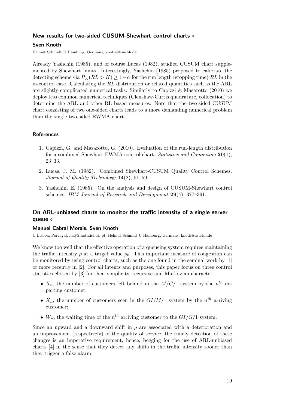## New results for two-sided CUSUM-Shewhart control charts  $\diamond$

## Sven Knoth

Helmut Schmidt U Hamburg, Germany, knoth@hsu-hh.de

Already Yashchin (1985), and of course Lucas (1982), studied CUSUM chart supplemented by Shewhart limits. Interestingly, Yashchin (1985) proposed to calibrate the detecting scheme via  $P_{\infty}(RL > K) \geq 1-\alpha$  for the run length (stopping time) RL in the in-control case. Calculating the  $RL$  distribution or related quantities such as the ARL are slightly complicated numerical tasks. Similarly to Capizzi & Masarotto  $(2010)$  we deploy less common numerical techniques (Clenshaw-Curtis quadrature, collocation) to determine the ARL and other RL based measures. Note that the two-sided CUSUM chart consisting of two one-sided charts leads to a more demanding numerical problem than the single two-sided EWMA chart.

## References

- 1. Capizzi, G. and Masarotto, G. (2010). Evaluation of the run-length distribution for a combined Shewhart-EWMA control chart. Statistics and Computing  $20(1)$ , 23–33.
- 2. Lucas, J. M. (1982). Combined Shewhart-CUSUM Quality Control Schemes. Journal of Quality Technology 14(2), 51–59.
- 3. Yashchin, E. (1985). On the analysis and design of CUSUM-Shewhart control schemes. IBM Journal of Research and Development 29(4), 377–391.

## On ARL-unbiased charts to monitor the traffic intensity of a single server queue  $\diamond$

## Manuel Cabral Morais, Sven Knoth

U Lisboa, Portugal, maj@math.ist.utl.pt, Helmut Schmidt U Hamburg, Germany, knoth@hsu-hh.de

We know too well that the effective operation of a queueing system requires maintaining the traffic intensity  $\rho$  at a target value  $\rho_0$ . This important measure of congestion can be monitored by using control charts, such as the one found in the seminal work by [1] or more recently in [2]. For all intents and purposes, this paper focus on three control statistics chosen by [3] for their simplicity, recursive and Markovian character:

- $X_n$ , the number of customers left behind in the  $M/G/1$  system by the  $n<sup>th</sup>$  departing customer;
- $\hat{X}_n$ , the number of customers seen in the  $GI/M/1$  system by the  $n^{th}$  arriving customer;
- $W_n$ , the waiting time of the  $n^{th}$  arriving customer to the  $GI/G/1$  system.

Since an upward and a downward shift in  $\rho$  are associated with a deterioration and an improvement (respectively) of the quality of service, the timely detection of these changes is an imperative requirement, hence, begging for the use of ARL-unbiased charts [4] in the sense that they detect any shifts in the traffic intensity sooner than they trigger a false alarm.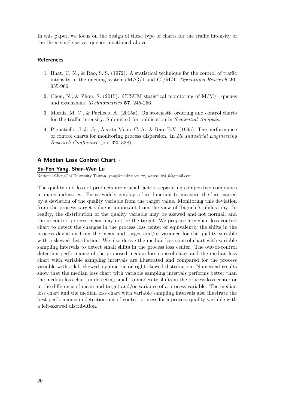In this paper, we focus on the design of these type of charts for the traffic intensity of the three single server queues mentioned above.

### **References**

- 1. Bhat, U. N., & Rao, S. S. (1972). A statistical technique for the control of traffic intensity in the queuing systems  $M/G/1$  and  $GI/M/1$ . Operations Research 20, 955-966.
- 2. Chen, N., & Zhou, S. (2015). CUSUM statistical monitoring of  $M/M/1$  queues and extensions. Technometrics 57, 245-256.
- 3. Morais, M. C., & Pacheco, A. (2015a). On stochastic ordering and control charts for the traffic intensity. Submitted for publication in Sequential Analysis.
- 4. Pignatiello, J. J., Jr., Acosta-Mejía, C. A., & Rao, B.V. (1995). The performance of control charts for monitoring process dispersion. In  $4th$  Industrial Engineering Research Conference (pp. 320-328).

## A Median Loss Control Chart

### Su-Fen Yang, Shan-Wen Lu

National ChengChi University Taiwan, yang@mail2.nccu.tw, waterolly415@gmail.com

The quality and loss of products are crucial factors separating competitive companies in many industries. Firms widely employ a loss function to measure the loss caused by a deviation of the quality variable from the target value. Monitoring this deviation from the process target value is important from the view of Taguchi's philosophy. In reality, the distribution of the quality variable may be skewed and not normal, and the in-control process mean may not be the target. We propose a median loss control chart to detect the changes in the process loss center or equivalently the shifts in the process deviation from the mean and target and/or variance for the quality variable with a skewed distribution. We also derive the median loss control chart with variable sampling intervals to detect small shifts in the process loss center. The out-of-control detection performance of the proposed median loss control chart and the median loss chart with variable sampling intervals are illustrated and compared for the process variable with a left-skewed, symmetric or right-skewed distribution. Numerical results show that the median loss chart with variable sampling intervals performs better than the median loss chart in detecting small to moderate shifts in the process loss center or in the difference of mean and target and/or variance of a process variable. The median loss chart and the median loss chart with variable sampling intervals also illustrate the best performance in detection out-of-control process for a process quality variable with a left-skewed distribution.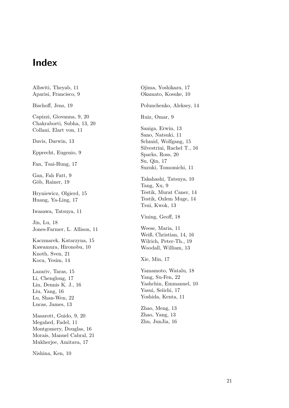# Index

Alhwiti, Theyab, 11 Aparisi, Francisco, 9 Bischoff, Jens, 19 Capizzi, Giovanna, 9, 20 Chakraborti, Subha, 13, 20 Collani, Elart von, 11 Davis, Darwin, 13 Epprecht, Eugenio, 9 Fan, Tsai-Hung, 17 Gan, Fah Fatt, 9 Göb, Rainer, 19 Hryniewicz, Olgierd, 15 Huang, Ya-Ling, 17 Iwasawa, Tatsuya, 11 Jin, Lu, 18 Jones-Farmer, L. Allison, 11 Kaczmarek, Katarzyna, 15 Kawamura, Hironobu, 10 Knoth, Sven, 21 Koca, Yesim, 14 Lazariv, Taras, 15 Li, Chenglong, 17 Lin, Dennis K. J., 16 Liu, Yang, 16 Lu, Shan-Wen, 22 Lucas, James, 13 Masarott, Guido, 9, 20 Megahed, Fadel, 11 Montgomery, Douglas, 16 Morais, Manuel Cabral, 21 Mukherjee, Amitava, 17 Nishina, Ken, 10

Ojima, Yoshikazu, 17 Okamato, Kosuke, 10 Polunchenko, Aleksey, 14 Ruiz, Omar, 9 Saniga, Erwin, 13 Sano, Natsuki, 11 Schmid, Wolfgang, 15 Silvestrini, Rachel T., 16 Sparks, Ross, 20 Su, Qin, 17 Suzuki, Tomomichi, 11 Takahashi, Tatsuya, 10 Tang, Xu, 9 Testik, Murat Caner, 14 Testik, Ozlem Muge, 14 Tsui, Kwok, 13 Vining, Geoff, 18 Weese, Maria, 11 Weiß, Christian, 14, 16 Wilrich, Peter-Th., 19 Woodall, William, 13 Xie, Min, 17 Yamamoto, Watalu, 18 Yang, Su-Fen, 22 Yashchin, Emmanuel, 10 Yasui, Seiichi, 17 Yoshida, Kenta, 11 Zhao, Meng, 13 Zhao, Yang, 13 Zhu, JunJia, 16